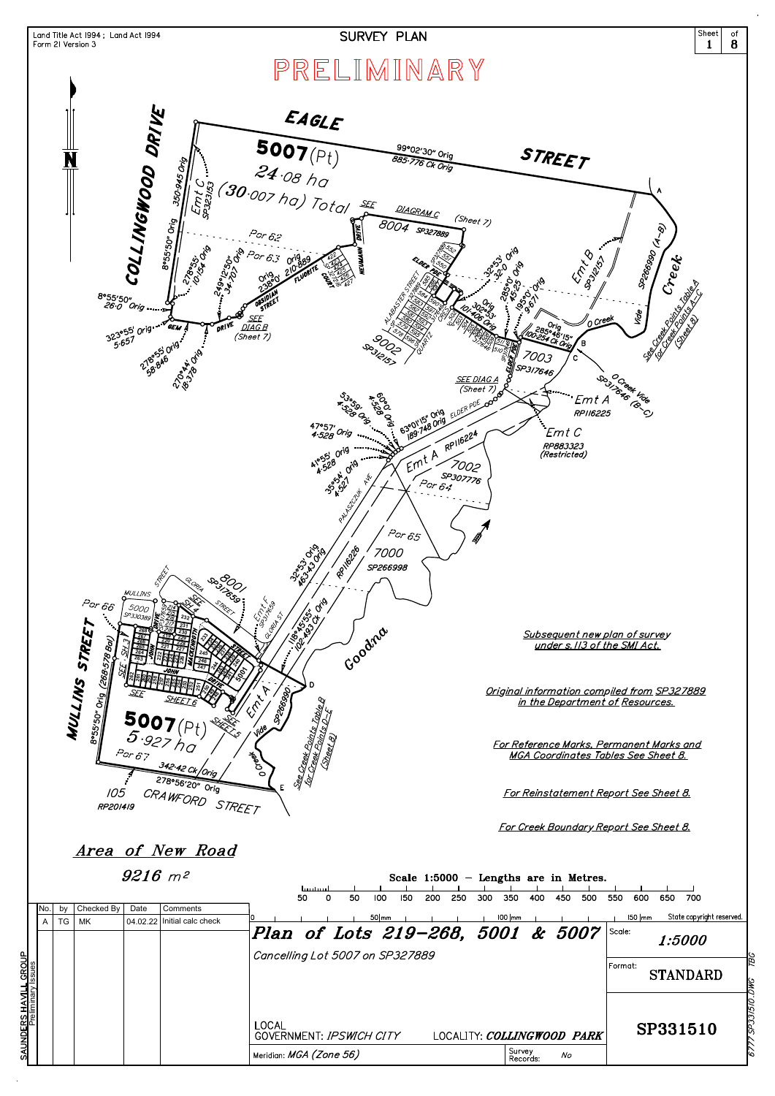

|                                             |      |    |            | $9216$ $m^2$ |                    |                                          | huntunl |   |    |                 |     |     |     |     |                         |          |     | Scale $1:5000$ - Lengths are in Metres. |         |               |     |                                  |
|---------------------------------------------|------|----|------------|--------------|--------------------|------------------------------------------|---------|---|----|-----------------|-----|-----|-----|-----|-------------------------|----------|-----|-----------------------------------------|---------|---------------|-----|----------------------------------|
|                                             | INO. | bv | Checked By | Date         | Comments           |                                          | 50      | 0 | 50 | 100<br>$50$  mm | 150 | 200 | 250 | 300 | 350<br>$100$ $\vert$ mm | 400      | 450 | 500                                     | 550     | 600<br>150 mm | 650 | 700<br>State copyright reserved. |
|                                             | A    | TG | МK         | 04.02.22     | Initial calc check | Plan of Lots 219-268, 5001 & 5007        |         |   |    |                 |     |     |     |     |                         |          |     |                                         | Scale:  |               |     | 1:5000                           |
|                                             |      |    |            |              |                    | Cancelling Lot 5007 on SP327889          |         |   |    |                 |     |     |     |     |                         |          |     |                                         | Format: |               |     | <b>STANDARD</b>                  |
| SAUNDERS HAVILL GROUP<br>Preliminary Issues |      |    |            |              |                    | <b>LOCAL</b><br>GOVERNMENT: IPSWICH CITY |         |   |    |                 |     |     |     |     |                         |          |     | LOCALITY: COLLINGWOOD PARK              |         |               |     | SP331510                         |
|                                             |      |    |            |              |                    | Meridian: MGA (Zone 56)                  |         |   |    |                 |     |     |     |     | <sub>I</sub> Survey     | Records: | No  |                                         |         |               |     |                                  |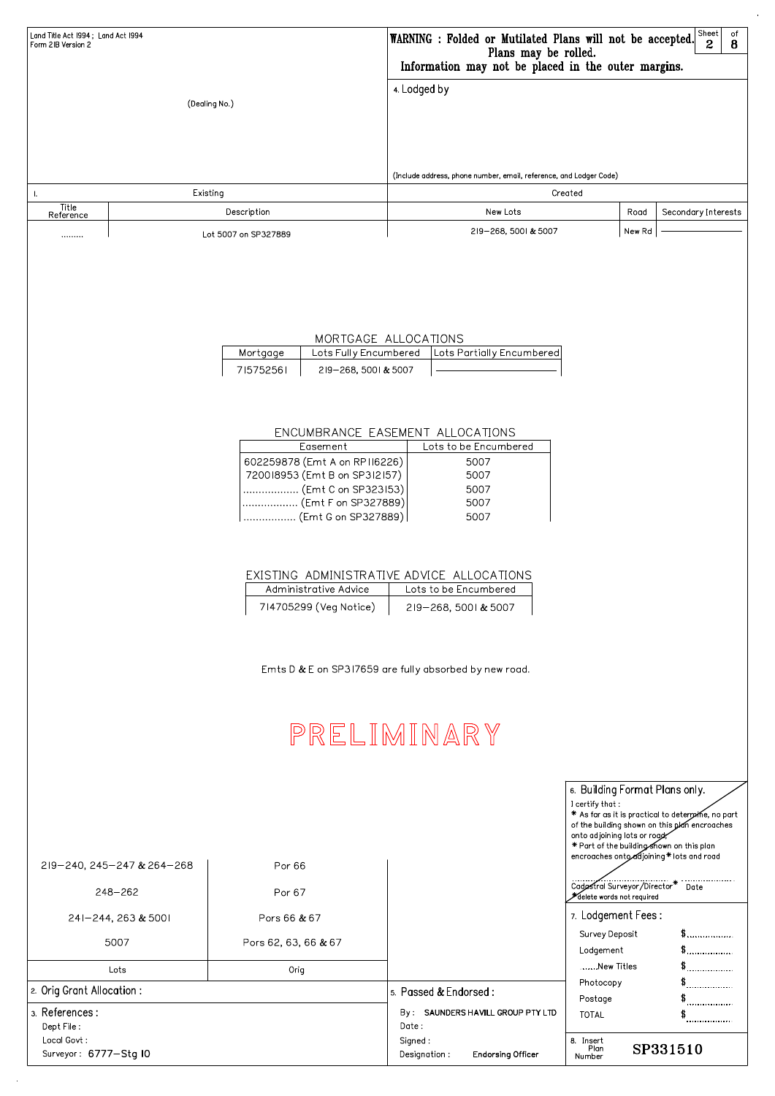| Land Title Act 1994; Land Act 1994<br>Form 2IB Version 2 |                      | $ $ Sheet<br>0f<br>WARNING : Folded or Mutilated Plans will not be accepted.<br>$\boldsymbol{2}$<br>8<br>Plans may be rolled.<br>Information may not be placed in the outer margins. |        |                     |  |  |  |
|----------------------------------------------------------|----------------------|--------------------------------------------------------------------------------------------------------------------------------------------------------------------------------------|--------|---------------------|--|--|--|
|                                                          | (Dealing No.)        | 4. Lodged by<br>(Include address, phone number, email, reference, and Lodger Code)                                                                                                   |        |                     |  |  |  |
|                                                          | Existing             | Created                                                                                                                                                                              |        |                     |  |  |  |
| Title<br>Reference                                       | Description          | New Lots                                                                                                                                                                             | Road   | Secondary Interests |  |  |  |
|                                                          | Lot 5007 on SP327889 | 219-268, 5001 & 5007                                                                                                                                                                 | New Rd |                     |  |  |  |

### MORTGAGE ALLOCATIONS

| Mortgage  |                      | Lots Fully Encumbered   Lots Partially Encumbered |
|-----------|----------------------|---------------------------------------------------|
| 715752561 | 219-268, 5001 & 5007 |                                                   |

### ENCUMBRANCE EASEMENT ALLOCATIONS

| Easement                      | Lots to be Encumbered |
|-------------------------------|-----------------------|
| 602259878 (Emt A on RPII6226) | 5007                  |
| 720018953 (Emt B on SP312157) | 5007                  |
| (Emt C on SP323153)           | 5007                  |
| (Emt F on SP327889)           | 5007                  |
| '  (Emt G on SP327889)        | 5007                  |

### EXISTING ADMINISTRATIVE ADVICE ALLOCATIONS

| Administrative Advice  | Lots to be Encumbered |
|------------------------|-----------------------|
| 714705299 (Veg Notice) | 219-268, 5001 & 5007  |

Emts D & E on SP317659 are fully absorbed by new road.

# PRELIMINARY

| $\vert$ 6. Building Format Plans only. |
|----------------------------------------|
|                                        |

- $\vert$  I certify that :  $\vert$ \* As far as it is practical to determine, no part
- of the building shown on this plan encroaches

| 2l9-240, 245-247 & 264-268           | Por 66               |                                                      | onto adjoining lots or road<br>* Part of the building shown on this plan<br>encroaches onto djoining* lots and road |     |  |
|--------------------------------------|----------------------|------------------------------------------------------|---------------------------------------------------------------------------------------------------------------------|-----|--|
| $248 - 262$                          | Por 67               |                                                      | Cadastral Surveyor/Director* Date<br>delete words not required                                                      |     |  |
| 241-244, 263 & 5001                  | Pors 66 & 67         |                                                      | 7. Lodgement Fees:                                                                                                  |     |  |
| 5007                                 | Pors 62, 63, 66 & 67 |                                                      | Survey Deposit<br>Lodgement                                                                                         | \$. |  |
| Lots                                 | Orig                 |                                                      | New Titles                                                                                                          | \$  |  |
| 2. Orig Grant Allocation :           |                      | 5. Passed & Endorsed:                                | Photocopy<br>Postage                                                                                                | \$  |  |
| 3. References:<br>Dept File :        |                      | By: SAUNDERS HAVILL GROUP PTY LTD<br>Date:           | <b>TOTAL</b>                                                                                                        |     |  |
| Local Govt:<br>Surveyor: 6777-Stg IO |                      | Signed:<br>Designation :<br><b>Endorsing Officer</b> | 8. Insert<br>SP331510<br>Plan<br>Number                                                                             |     |  |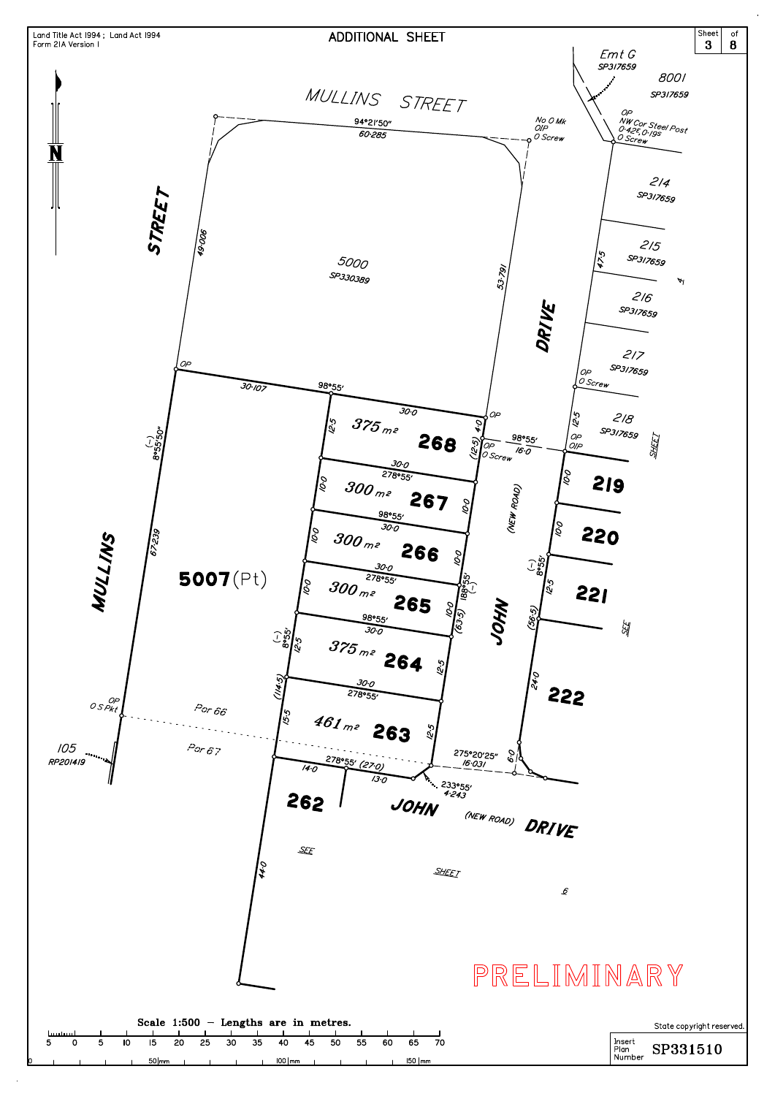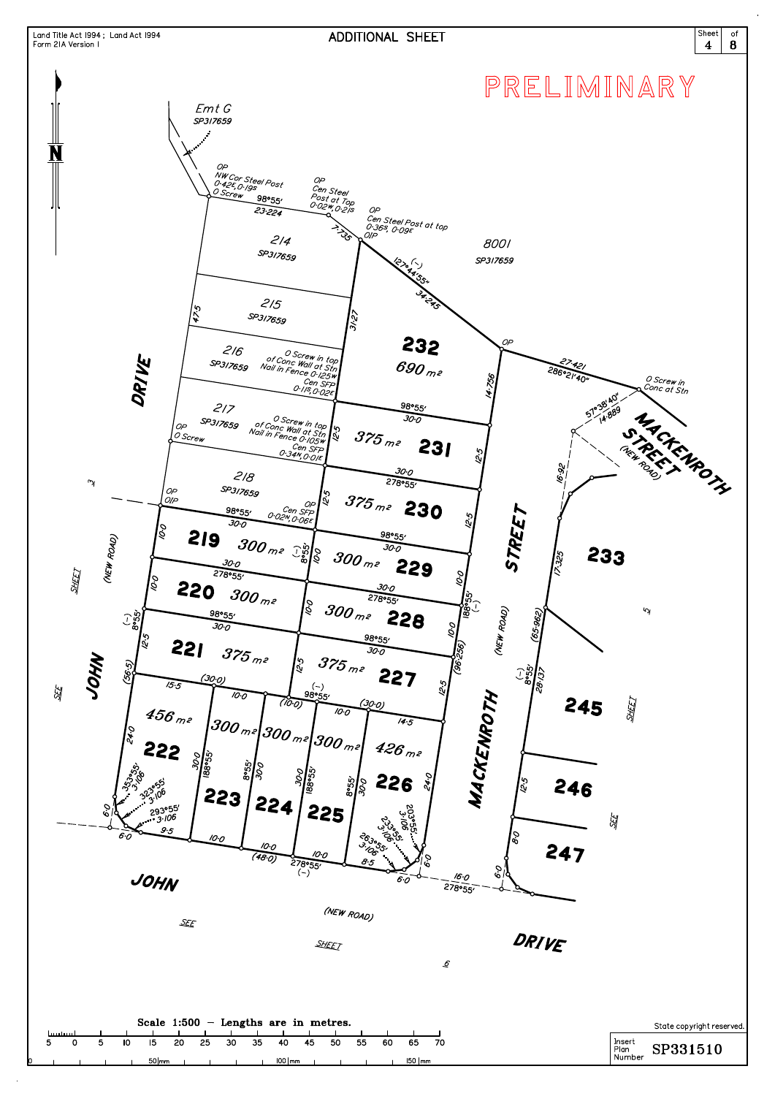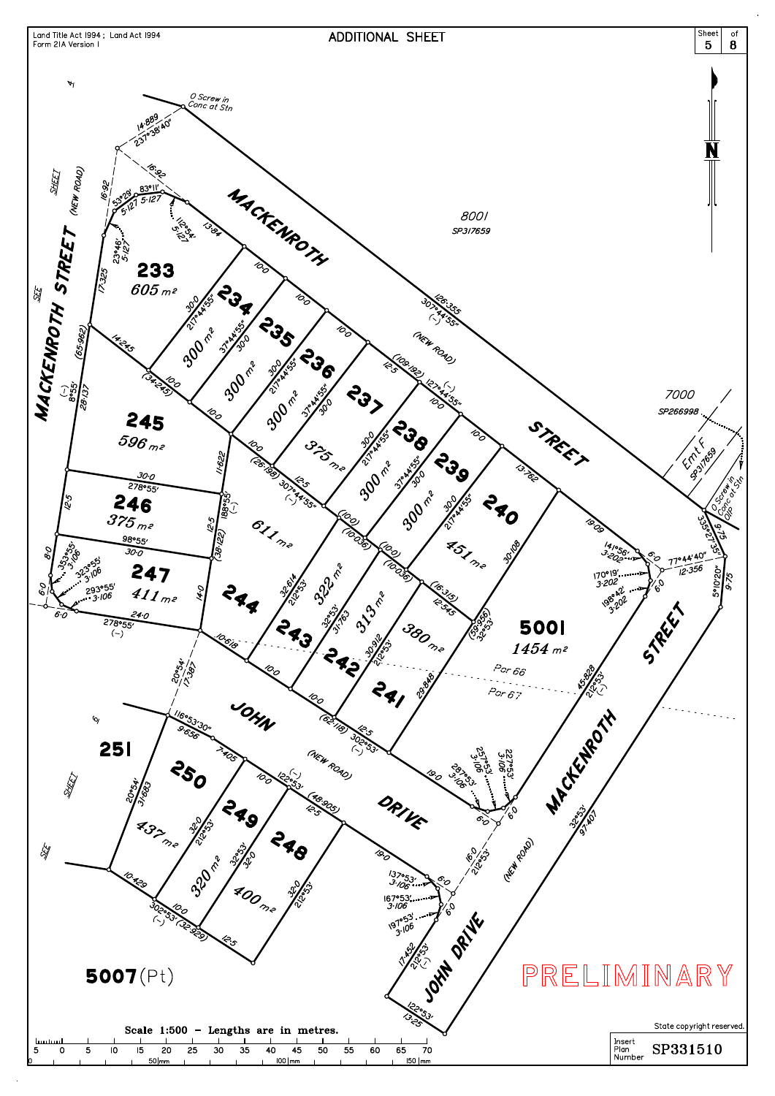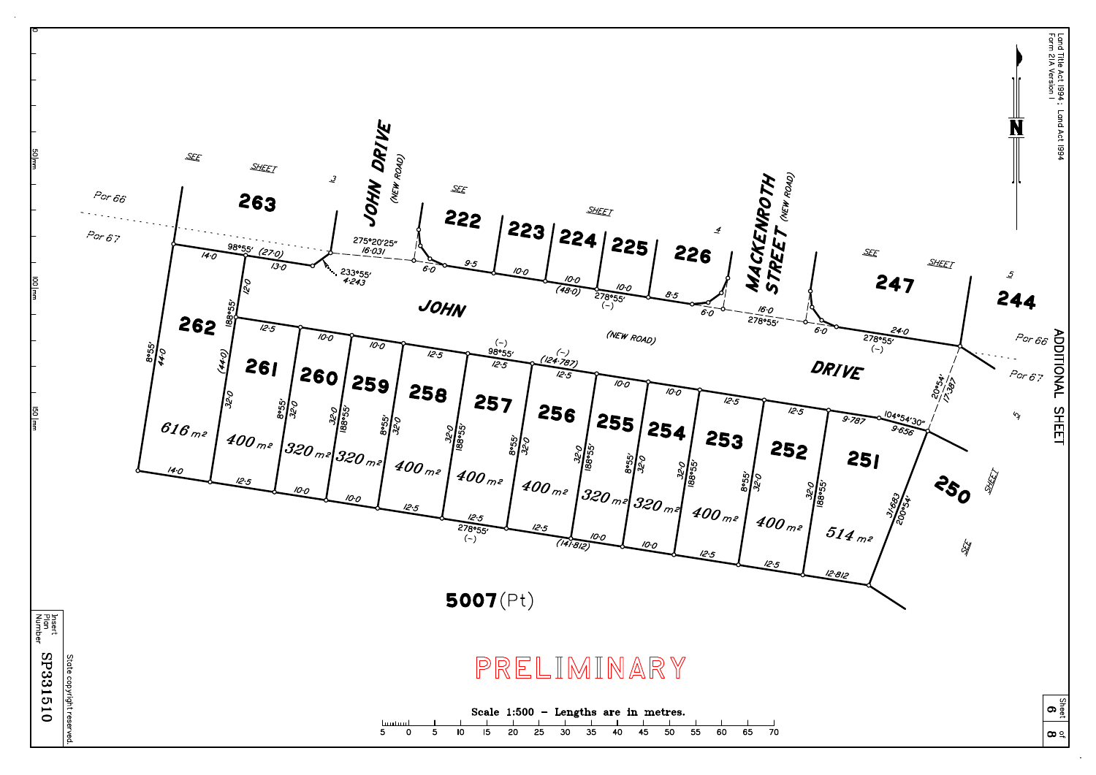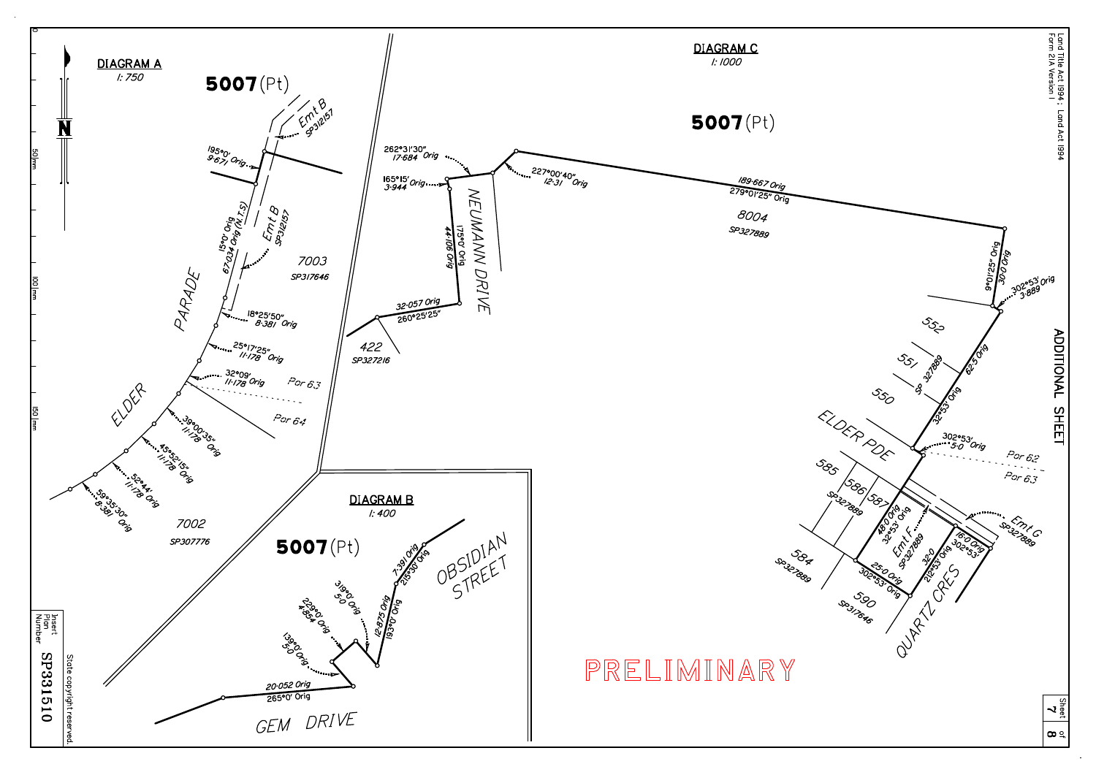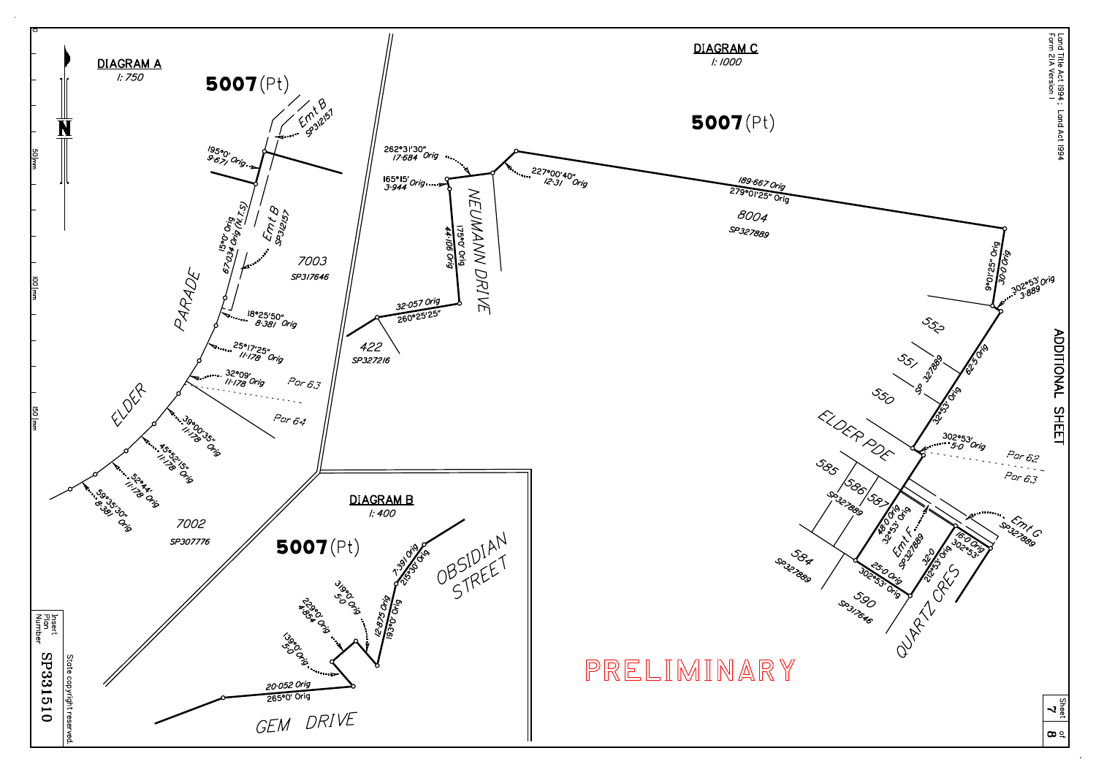